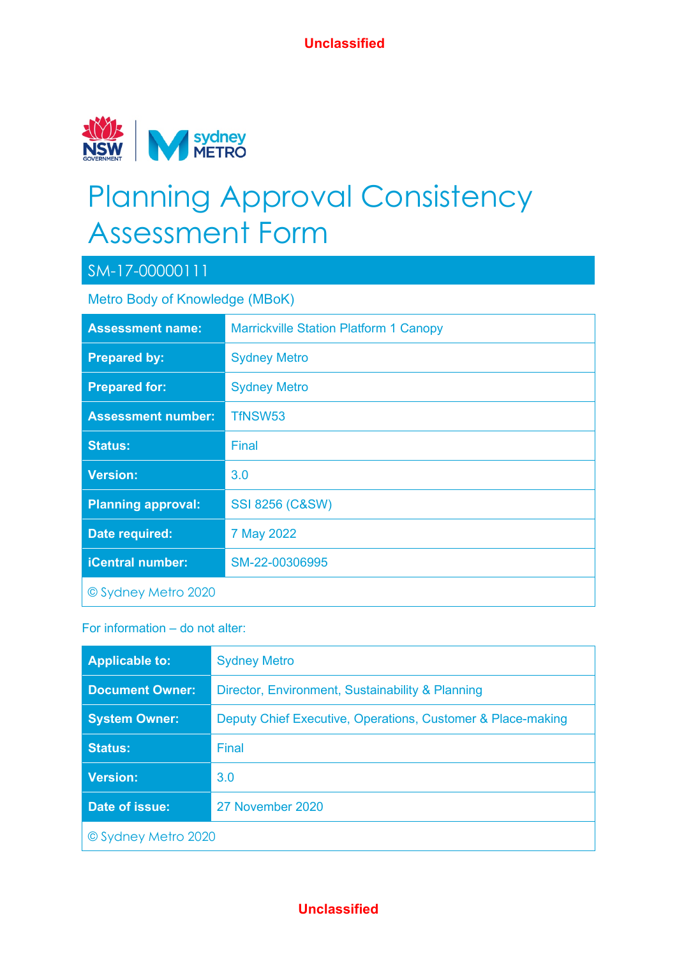

# Planning Approval Consistency Assessment Form

## SM-17-00000111

Metro Body of Knowledge (MBoK)

| <b>Assessment name:</b>   | <b>Marrickville Station Platform 1 Canopy</b> |
|---------------------------|-----------------------------------------------|
| <b>Prepared by:</b>       | <b>Sydney Metro</b>                           |
| <b>Prepared for:</b>      | <b>Sydney Metro</b>                           |
| <b>Assessment number:</b> | TfNSW53                                       |
| <b>Status:</b>            | Final                                         |
| <b>Version:</b>           | 3.0                                           |
| <b>Planning approval:</b> | <b>SSI 8256 (C&amp;SW)</b>                    |
| Date required:            | 7 May 2022                                    |
| <b>iCentral number:</b>   | SM-22-00306995                                |
| © Sydney Metro 2020       |                                               |

#### For information – do not alter:

| <b>Applicable to:</b>  | <b>Sydney Metro</b>                                         |
|------------------------|-------------------------------------------------------------|
| <b>Document Owner:</b> | Director, Environment, Sustainability & Planning            |
| <b>System Owner:</b>   | Deputy Chief Executive, Operations, Customer & Place-making |
| <b>Status:</b>         | Final                                                       |
| <b>Version:</b>        | 3.0                                                         |
| Date of issue:         | 27 November 2020                                            |
| © Sydney Metro 2020    |                                                             |

#### **Unclassified**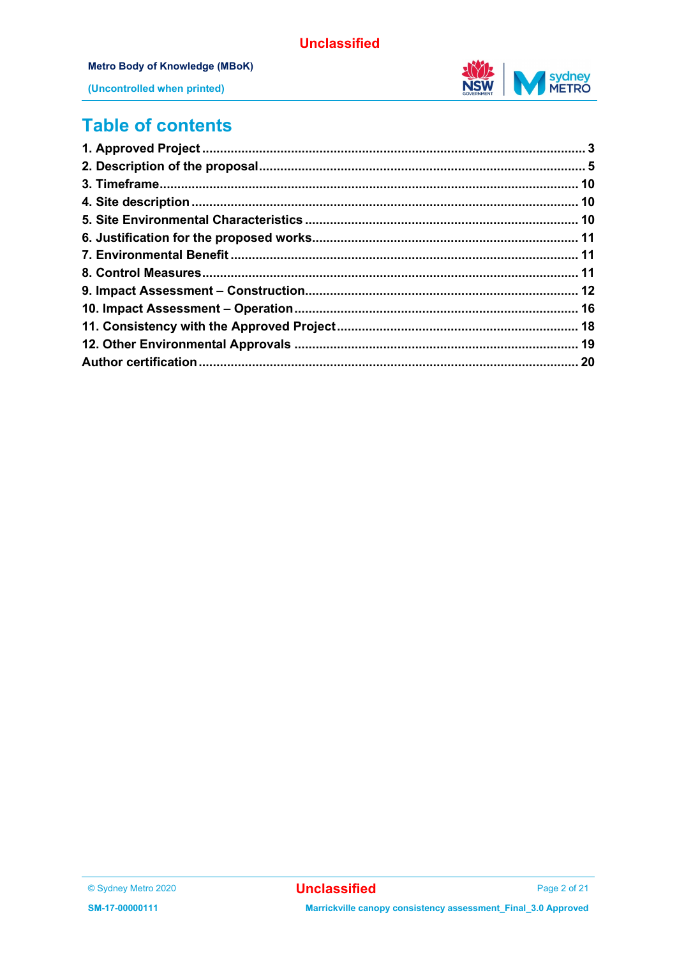#### **Metro Body of Knowledge (MBoK)**

(Uncontrolled when printed)



## **Table of contents**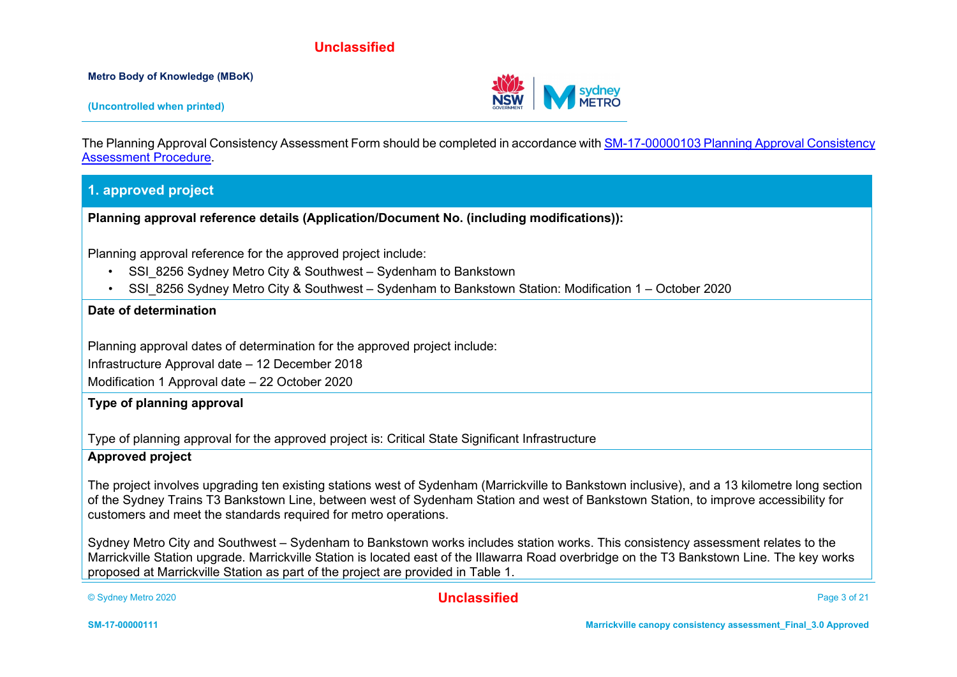**Metro Body of Knowledge (MBoK)**

**(Uncontrolled when printed)**

The Planning Approval Consistency Assessment Form should be completed in accordance wit[h SM-17-00000103 Planning Approval Consistency](https://icentral.tdocs.transport.nsw.gov.au/otcs/cs.exe/app/nodes/3843028)  [Assessment Procedure.](https://icentral.tdocs.transport.nsw.gov.au/otcs/cs.exe/app/nodes/3843028)

#### **1. approved project**

**Planning approval reference details (Application/Document No. (including modifications)):**

Planning approval reference for the approved project include:

- SSI 8256 Sydney Metro City & Southwest Sydenham to Bankstown
- SSI 8256 Sydney Metro City & Southwest Sydenham to Bankstown Station: Modification 1 October 2020

#### **Date of determination**

Planning approval dates of determination for the approved project include:

Infrastructure Approval date – 12 December 2018

Modification 1 Approval date – 22 October 2020

#### **Type of planning approval**

Type of planning approval for the approved project is: Critical State Significant Infrastructure

#### **Approved project**

The project involves upgrading ten existing stations west of Sydenham (Marrickville to Bankstown inclusive), and a 13 kilometre long section of the Sydney Trains T3 Bankstown Line, between west of Sydenham Station and west of Bankstown Station, to improve accessibility for customers and meet the standards required for metro operations.

Sydney Metro City and Southwest – Sydenham to Bankstown works includes station works. This consistency assessment relates to the Marrickville Station upgrade. Marrickville Station is located east of the Illawarra Road overbridge on the T3 Bankstown Line. The key works proposed at Marrickville Station as part of the project are provided in Table 1.

© Sydney Metro 2020 **Unclassified** Page 3 of 21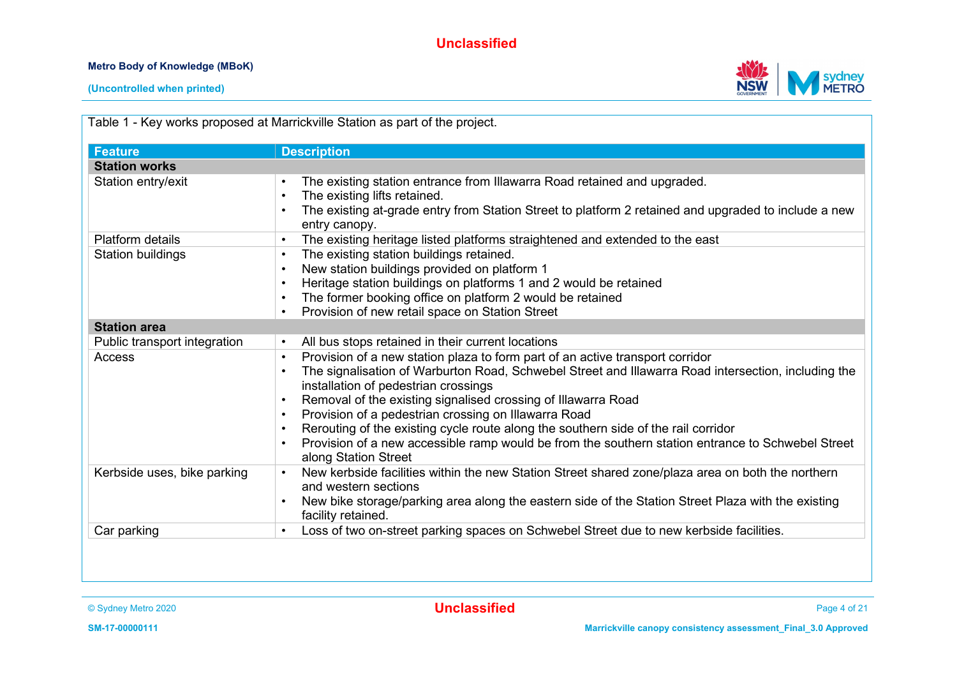#### **Metro Body of Knowledge (MBoK)**





**(Uncontrolled when printed)**

| <b>Feature</b>               | <b>Description</b>                                                                                                                                                                                                                                                                                                                                                                                                                                                                                                                                                                    |
|------------------------------|---------------------------------------------------------------------------------------------------------------------------------------------------------------------------------------------------------------------------------------------------------------------------------------------------------------------------------------------------------------------------------------------------------------------------------------------------------------------------------------------------------------------------------------------------------------------------------------|
| <b>Station works</b>         |                                                                                                                                                                                                                                                                                                                                                                                                                                                                                                                                                                                       |
| Station entry/exit           | The existing station entrance from Illawarra Road retained and upgraded.<br>The existing lifts retained.<br>The existing at-grade entry from Station Street to platform 2 retained and upgraded to include a new<br>entry canopy.                                                                                                                                                                                                                                                                                                                                                     |
| <b>Platform details</b>      | The existing heritage listed platforms straightened and extended to the east<br>$\bullet$                                                                                                                                                                                                                                                                                                                                                                                                                                                                                             |
| <b>Station buildings</b>     | The existing station buildings retained.<br>New station buildings provided on platform 1<br>Heritage station buildings on platforms 1 and 2 would be retained<br>The former booking office on platform 2 would be retained<br>Provision of new retail space on Station Street                                                                                                                                                                                                                                                                                                         |
| <b>Station area</b>          |                                                                                                                                                                                                                                                                                                                                                                                                                                                                                                                                                                                       |
| Public transport integration | All bus stops retained in their current locations                                                                                                                                                                                                                                                                                                                                                                                                                                                                                                                                     |
| Access                       | Provision of a new station plaza to form part of an active transport corridor<br>$\bullet$<br>The signalisation of Warburton Road, Schwebel Street and Illawarra Road intersection, including the<br>installation of pedestrian crossings<br>Removal of the existing signalised crossing of Illawarra Road<br>Provision of a pedestrian crossing on Illawarra Road<br>Rerouting of the existing cycle route along the southern side of the rail corridor<br>Provision of a new accessible ramp would be from the southern station entrance to Schwebel Street<br>along Station Street |
| Kerbside uses, bike parking  | New kerbside facilities within the new Station Street shared zone/plaza area on both the northern<br>and western sections<br>New bike storage/parking area along the eastern side of the Station Street Plaza with the existing<br>facility retained.                                                                                                                                                                                                                                                                                                                                 |
| Car parking                  | Loss of two on-street parking spaces on Schwebel Street due to new kerbside facilities.<br>$\bullet$                                                                                                                                                                                                                                                                                                                                                                                                                                                                                  |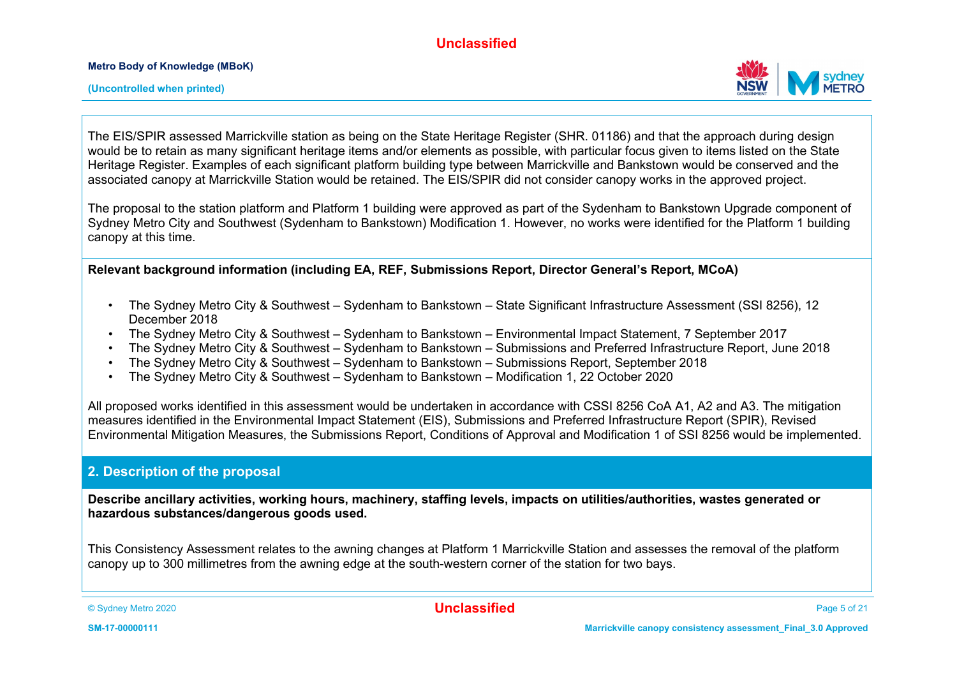

**(Uncontrolled when printed)**

The EIS/SPIR assessed Marrickville station as being on the State Heritage Register (SHR. 01186) and that the approach during design would be to retain as many significant heritage items and/or elements as possible, with particular focus given to items listed on the State Heritage Register. Examples of each significant platform building type between Marrickville and Bankstown would be conserved and the associated canopy at Marrickville Station would be retained. The EIS/SPIR did not consider canopy works in the approved project.

The proposal to the station platform and Platform 1 building were approved as part of the Sydenham to Bankstown Upgrade component of Sydney Metro City and Southwest (Sydenham to Bankstown) Modification 1. However, no works were identified for the Platform 1 building canopy at this time.

**Relevant background information (including EA, REF, Submissions Report, Director General's Report, MCoA)**

- The Sydney Metro City & Southwest Sydenham to Bankstown State Significant Infrastructure Assessment (SSI 8256), 12 December 2018
- The Sydney Metro City & Southwest Sydenham to Bankstown Environmental Impact Statement, 7 September 2017
- The Sydney Metro City & Southwest Sydenham to Bankstown Submissions and Preferred Infrastructure Report, June 2018
- The Sydney Metro City & Southwest Sydenham to Bankstown Submissions Report, September 2018
- The Sydney Metro City & Southwest Sydenham to Bankstown Modification 1, 22 October 2020

All proposed works identified in this assessment would be undertaken in accordance with CSSI 8256 CoA A1, A2 and A3. The mitigation measures identified in the Environmental Impact Statement (EIS), Submissions and Preferred Infrastructure Report (SPIR), Revised Environmental Mitigation Measures, the Submissions Report, Conditions of Approval and Modification 1 of SSI 8256 would be implemented.

#### **2. Description of the proposal**

**Describe ancillary activities, working hours, machinery, staffing levels, impacts on utilities/authorities, wastes generated or hazardous substances/dangerous goods used.**

This Consistency Assessment relates to the awning changes at Platform 1 Marrickville Station and assesses the removal of the platform canopy up to 300 millimetres from the awning edge at the south-western corner of the station for two bays.

© Sydney Metro 2020 **Unclassified** Page 5 of 21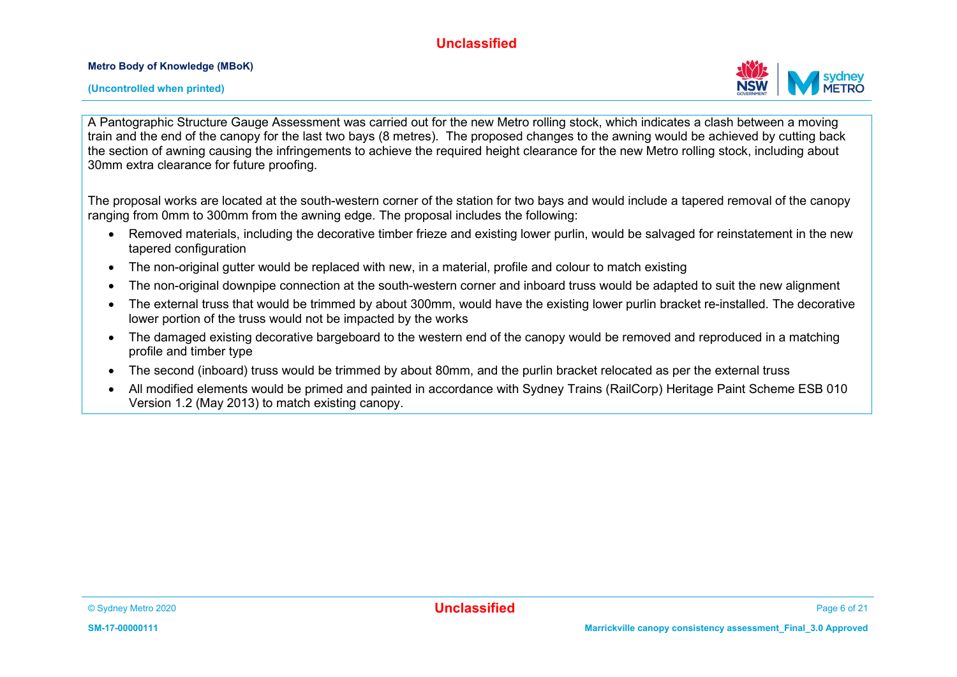**Metro Body of Knowledge (MBoK)**



A Pantographic Structure Gauge Assessment was carried out for the new Metro rolling stock, which indicates a clash between a moving train and the end of the canopy for the last two bays (8 metres). The proposed changes to the awning would be achieved by cutting back the section of awning causing the infringements to achieve the required height clearance for the new Metro rolling stock, including about 30mm extra clearance for future proofing.

The proposal works are located at the south-western corner of the station for two bays and would include a tapered removal of the canopy ranging from 0mm to 300mm from the awning edge. The proposal includes the following:

- Removed materials, including the decorative timber frieze and existing lower purlin, would be salvaged for reinstatement in the new tapered configuration
- The non-original gutter would be replaced with new, in a material, profile and colour to match existing
- The non-original downpipe connection at the south-western corner and inboard truss would be adapted to suit the new alignment
- The external truss that would be trimmed by about 300mm, would have the existing lower purlin bracket re-installed. The decorative lower portion of the truss would not be impacted by the works
- The damaged existing decorative bargeboard to the western end of the canopy would be removed and reproduced in a matching profile and timber type
- The second (inboard) truss would be trimmed by about 80mm, and the purlin bracket relocated as per the external truss
- All modified elements would be primed and painted in accordance with Sydney Trains (RailCorp) Heritage Paint Scheme ESB 010 Version 1.2 (May 2013) to match existing canopy.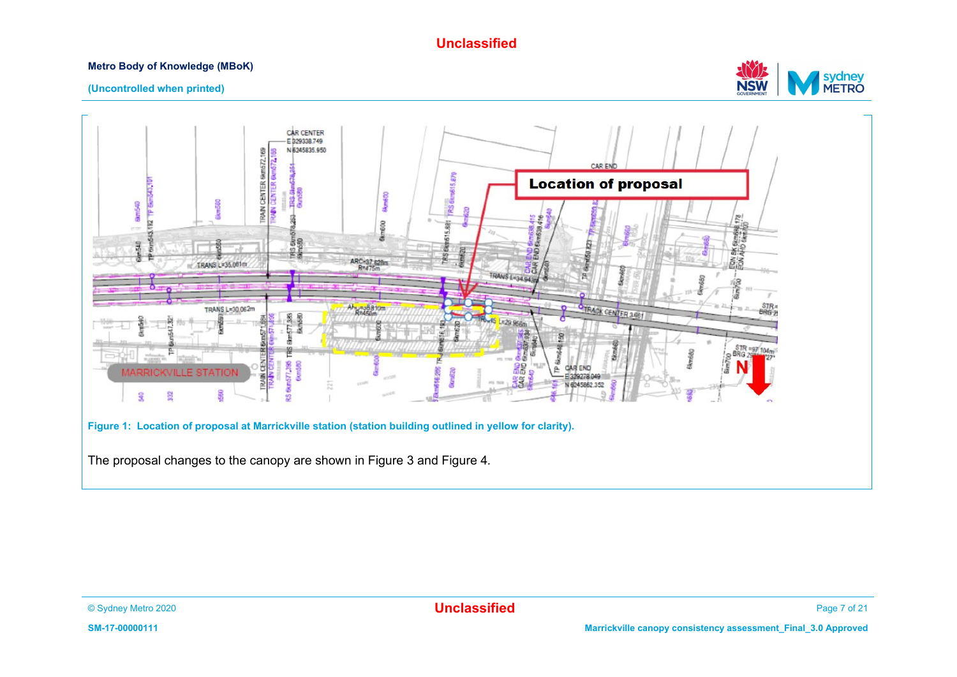#### **Metro Body of Knowledge (MBoK)**



#### **(Uncontrolled when printed)**

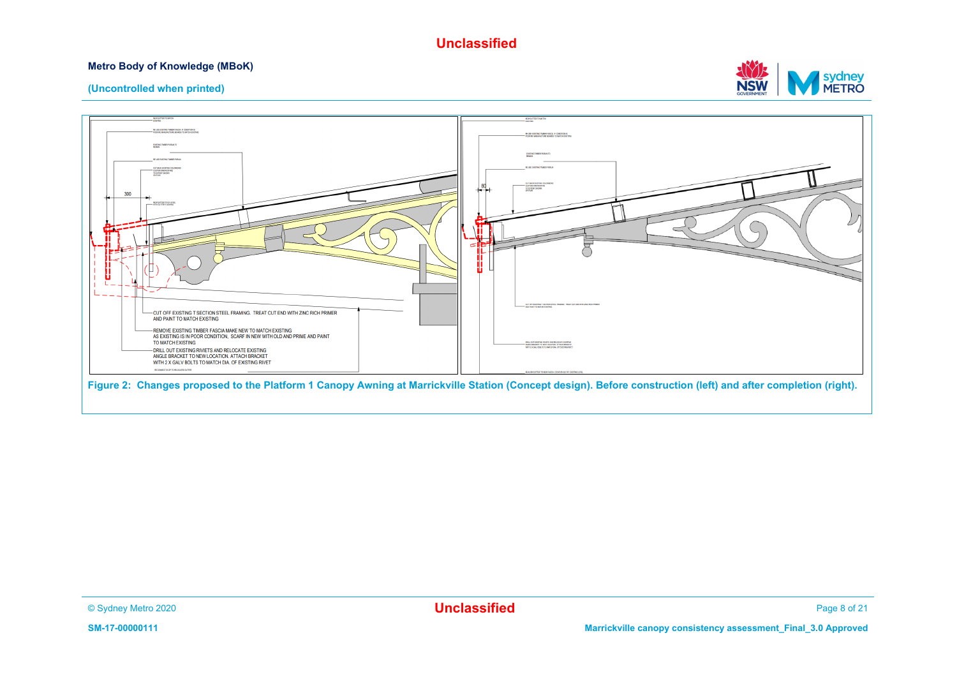#### **Metro Body of Knowledge (MBoK)**



#### **(Uncontrolled when printed)**



**Figure 2: Changes proposed to the Platform 1 Canopy Awning at Marrickville Station (Concept design). Before construction (left) and after completion (right).**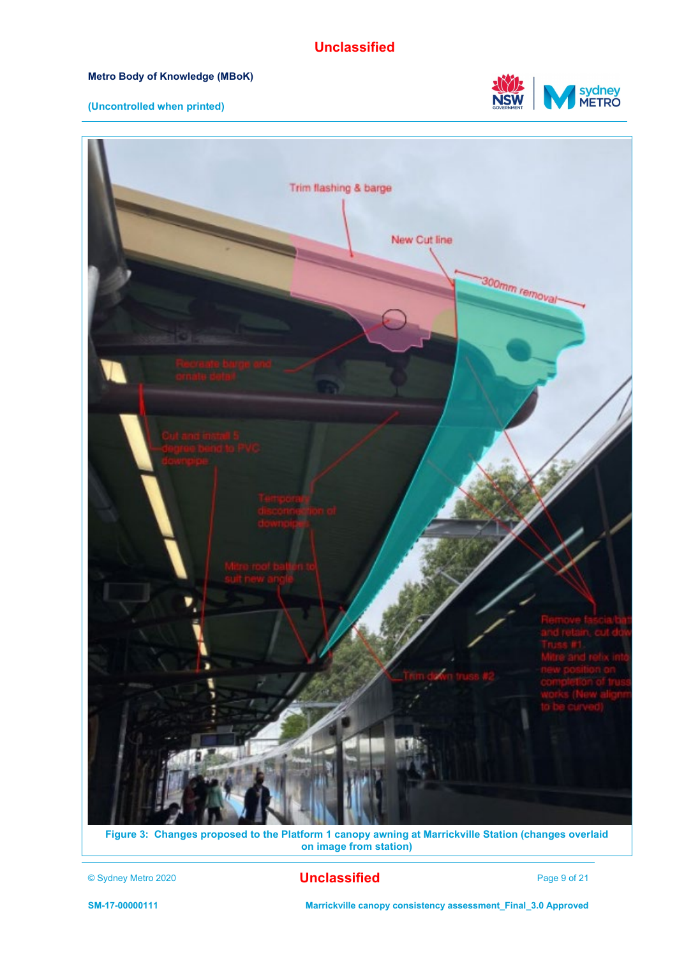#### **Metro Body of Knowledge (MBoK)**

#### **(Uncontrolled when printed)**





**Figure 3: Changes proposed to the Platform 1 canopy awning at Marrickville Station (changes overlaid on image from station)**

#### © Sydney Metro 2020 **Unclassified** Page 9 of 21

**SM-17-00000111 Marrickville canopy consistency assessment\_Final\_3.0 Approved**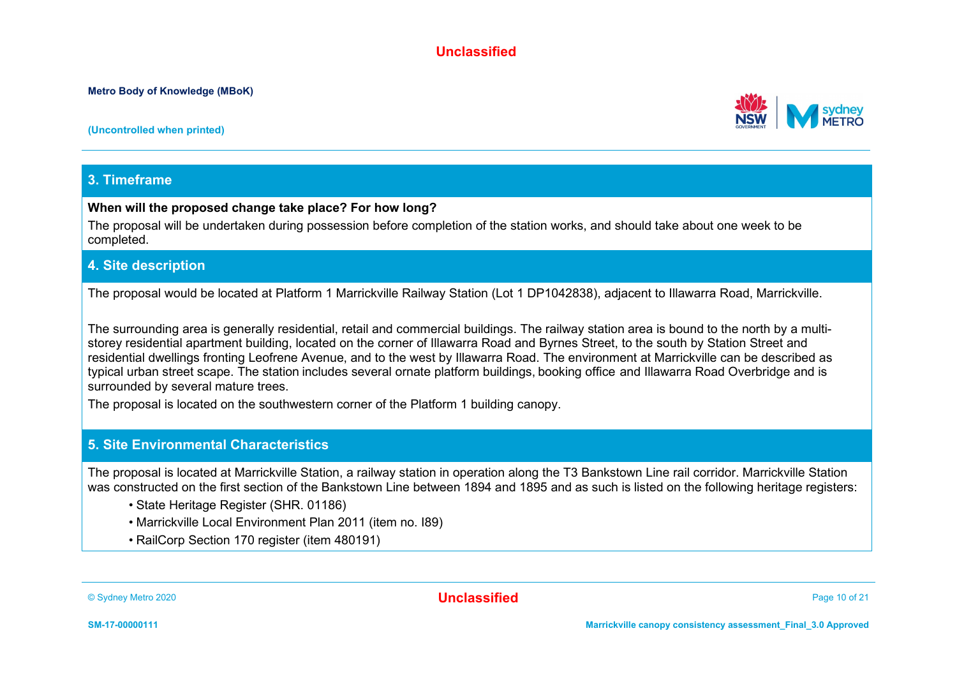**(Uncontrolled when printed)**

#### **3. Timeframe**

#### **When will the proposed change take place? For how long?**

The proposal will be undertaken during possession before completion of the station works, and should take about one week to be completed.

#### **4. Site description**

The proposal would be located at Platform 1 Marrickville Railway Station (Lot 1 DP1042838), adjacent to Illawarra Road, Marrickville.

The surrounding area is generally residential, retail and commercial buildings. The railway station area is bound to the north by a multistorey residential apartment building, located on the corner of Illawarra Road and Byrnes Street, to the south by Station Street and residential dwellings fronting Leofrene Avenue, and to the west by Illawarra Road. The environment at Marrickville can be described as typical urban street scape. The station includes several ornate platform buildings, booking office and Illawarra Road Overbridge and is surrounded by several mature trees.

The proposal is located on the southwestern corner of the Platform 1 building canopy.

#### **5. Site Environmental Characteristics**

The proposal is located at Marrickville Station, a railway station in operation along the T3 Bankstown Line rail corridor. Marrickville Station was constructed on the first section of the Bankstown Line between 1894 and 1895 and as such is listed on the following heritage registers:

- State Heritage Register (SHR. 01186)
- Marrickville Local Environment Plan 2011 (item no. I89)
- RailCorp Section 170 register (item 480191)



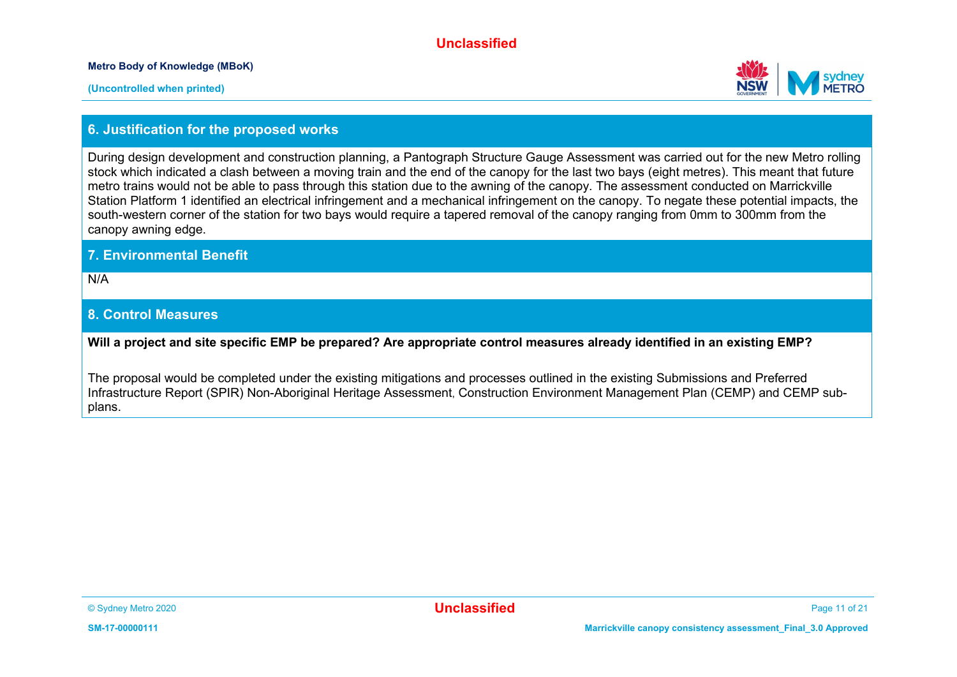**Metro Body of Knowledge (MBoK)**



#### **6. Justification for the proposed works**

During design development and construction planning, a Pantograph Structure Gauge Assessment was carried out for the new Metro rolling stock which indicated a clash between a moving train and the end of the canopy for the last two bays (eight metres). This meant that future metro trains would not be able to pass through this station due to the awning of the canopy. The assessment conducted on Marrickville Station Platform 1 identified an electrical infringement and a mechanical infringement on the canopy. To negate these potential impacts, the south-western corner of the station for two bays would require a tapered removal of the canopy ranging from 0mm to 300mm from the canopy awning edge.

#### **7. Environmental Benefit**

N/A

#### **8. Control Measures**

**Will a project and site specific EMP be prepared? Are appropriate control measures already identified in an existing EMP?**

The proposal would be completed under the existing mitigations and processes outlined in the existing Submissions and Preferred Infrastructure Report (SPIR) Non-Aboriginal Heritage Assessment, Construction Environment Management Plan (CEMP) and CEMP subplans.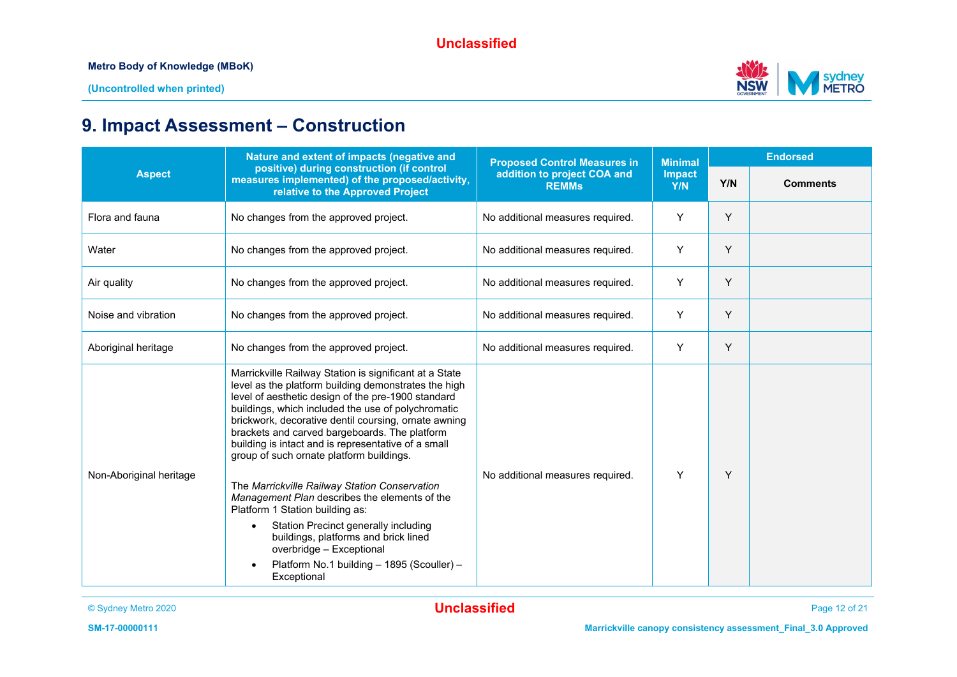

## **9. Impact Assessment – Construction**

| Nature and extent of impacts (negative and                                                                                                                                                                                                                                                                                                                                                                                             |                                                          |                                     |                | <b>Endorsed</b> |
|----------------------------------------------------------------------------------------------------------------------------------------------------------------------------------------------------------------------------------------------------------------------------------------------------------------------------------------------------------------------------------------------------------------------------------------|----------------------------------------------------------|-------------------------------------|----------------|-----------------|
| measures implemented) of the proposed/activity,<br>relative to the Approved Project                                                                                                                                                                                                                                                                                                                                                    | addition to project COA and<br><b>REMMs</b>              | <b>Impact</b><br>Y/N                | Y/N            | <b>Comments</b> |
| No changes from the approved project.                                                                                                                                                                                                                                                                                                                                                                                                  | No additional measures required.                         | Y                                   | Y              |                 |
| No changes from the approved project.                                                                                                                                                                                                                                                                                                                                                                                                  | No additional measures required.                         | Y                                   | Y              |                 |
| No changes from the approved project.                                                                                                                                                                                                                                                                                                                                                                                                  | No additional measures required.                         | Y                                   | Y              |                 |
| No changes from the approved project.                                                                                                                                                                                                                                                                                                                                                                                                  | No additional measures required.                         | Y                                   | Y              |                 |
| No changes from the approved project.                                                                                                                                                                                                                                                                                                                                                                                                  | No additional measures required.                         | Y                                   | Y              |                 |
| Marrickville Railway Station is significant at a State<br>level as the platform building demonstrates the high<br>level of aesthetic design of the pre-1900 standard<br>buildings, which included the use of polychromatic<br>brickwork, decorative dentil coursing, ornate awning<br>brackets and carved bargeboards. The platform<br>building is intact and is representative of a small<br>group of such ornate platform buildings. |                                                          |                                     |                |                 |
| The Marrickville Railway Station Conservation<br>Management Plan describes the elements of the<br>Platform 1 Station building as:<br>Station Precinct generally including<br>$\bullet$<br>buildings, platforms and brick lined<br>overbridge - Exceptional<br>Platform No.1 building - 1895 (Scouller) -                                                                                                                               | No additional measures required.                         | Υ                                   | Y              |                 |
|                                                                                                                                                                                                                                                                                                                                                                                                                                        | positive) during construction (if control<br>Exceptional | <b>Proposed Control Measures in</b> | <b>Minimal</b> |                 |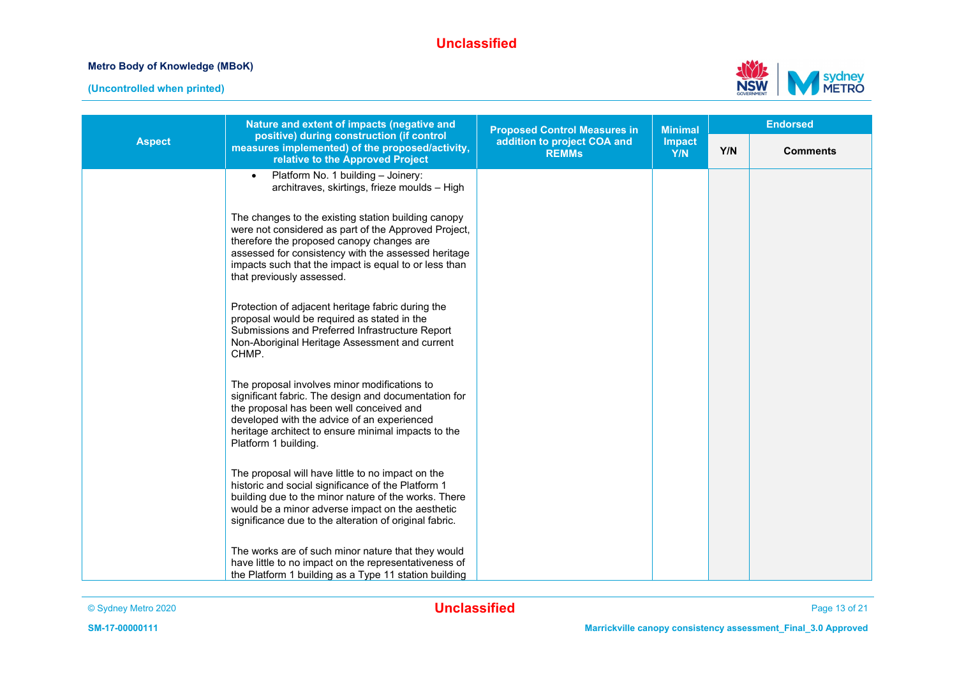



|               | Nature and extent of impacts (negative and                                                                                                                                                                                                                                                            | <b>Proposed Control Measures in</b>         | <b>Minimal</b>       |     | <b>Endorsed</b> |
|---------------|-------------------------------------------------------------------------------------------------------------------------------------------------------------------------------------------------------------------------------------------------------------------------------------------------------|---------------------------------------------|----------------------|-----|-----------------|
| <b>Aspect</b> | positive) during construction (if control<br>measures implemented) of the proposed/activity,<br>relative to the Approved Project                                                                                                                                                                      | addition to project COA and<br><b>REMMs</b> | <b>Impact</b><br>Y/N | Y/N | <b>Comments</b> |
|               | Platform No. 1 building - Joinery:<br>$\bullet$<br>architraves, skirtings, frieze moulds - High                                                                                                                                                                                                       |                                             |                      |     |                 |
|               | The changes to the existing station building canopy<br>were not considered as part of the Approved Project,<br>therefore the proposed canopy changes are<br>assessed for consistency with the assessed heritage<br>impacts such that the impact is equal to or less than<br>that previously assessed. |                                             |                      |     |                 |
|               | Protection of adjacent heritage fabric during the<br>proposal would be required as stated in the<br>Submissions and Preferred Infrastructure Report<br>Non-Aboriginal Heritage Assessment and current<br>CHMP.                                                                                        |                                             |                      |     |                 |
|               | The proposal involves minor modifications to<br>significant fabric. The design and documentation for<br>the proposal has been well conceived and<br>developed with the advice of an experienced<br>heritage architect to ensure minimal impacts to the<br>Platform 1 building.                        |                                             |                      |     |                 |
|               | The proposal will have little to no impact on the<br>historic and social significance of the Platform 1<br>building due to the minor nature of the works. There<br>would be a minor adverse impact on the aesthetic<br>significance due to the alteration of original fabric.                         |                                             |                      |     |                 |
|               | The works are of such minor nature that they would<br>have little to no impact on the representativeness of<br>the Platform 1 building as a Type 11 station building                                                                                                                                  |                                             |                      |     |                 |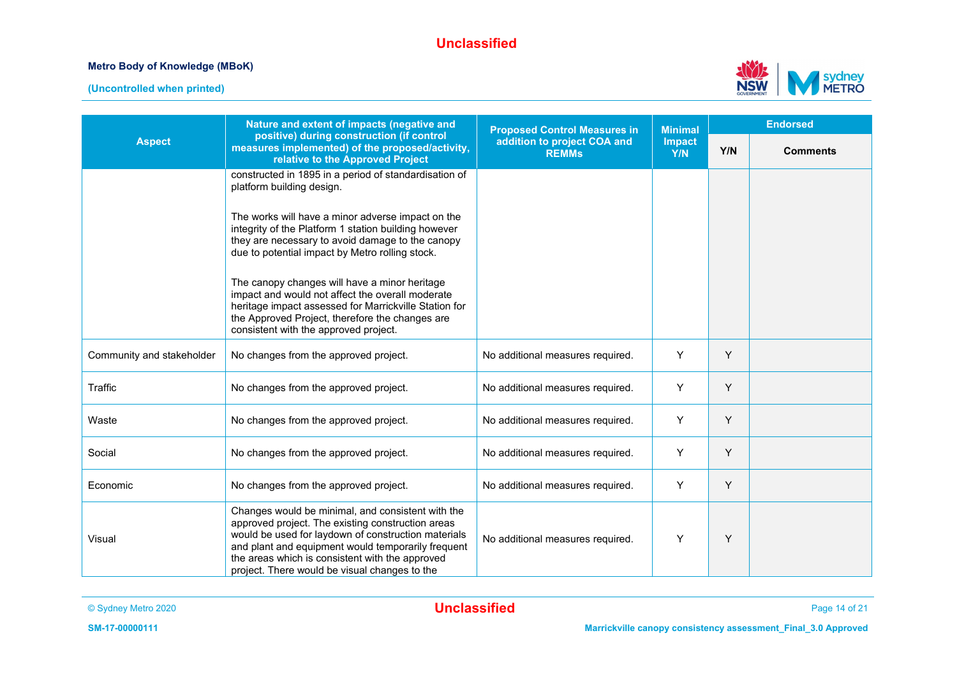



|                           | Nature and extent of impacts (negative and                                                                                                                                                                                                                                                                              | <b>Proposed Control Measures in</b>         | <b>Minimal</b> |     | <b>Endorsed</b> |
|---------------------------|-------------------------------------------------------------------------------------------------------------------------------------------------------------------------------------------------------------------------------------------------------------------------------------------------------------------------|---------------------------------------------|----------------|-----|-----------------|
| <b>Aspect</b>             | positive) during construction (if control<br>measures implemented) of the proposed/activity,<br>relative to the Approved Project                                                                                                                                                                                        | addition to project COA and<br><b>REMMs</b> | Impact<br>Y/N  | Y/N | <b>Comments</b> |
|                           | constructed in 1895 in a period of standardisation of<br>platform building design.                                                                                                                                                                                                                                      |                                             |                |     |                 |
|                           | The works will have a minor adverse impact on the<br>integrity of the Platform 1 station building however<br>they are necessary to avoid damage to the canopy<br>due to potential impact by Metro rolling stock.                                                                                                        |                                             |                |     |                 |
|                           | The canopy changes will have a minor heritage<br>impact and would not affect the overall moderate<br>heritage impact assessed for Marrickville Station for<br>the Approved Project, therefore the changes are<br>consistent with the approved project.                                                                  |                                             |                |     |                 |
| Community and stakeholder | No changes from the approved project.                                                                                                                                                                                                                                                                                   | No additional measures required.            | Y              | Y   |                 |
| Traffic                   | No changes from the approved project.                                                                                                                                                                                                                                                                                   | No additional measures required.            | Y              | Y   |                 |
| Waste                     | No changes from the approved project.                                                                                                                                                                                                                                                                                   | No additional measures required.            | Y              | Y   |                 |
| Social                    | No changes from the approved project.                                                                                                                                                                                                                                                                                   | No additional measures required.            | Y              | Y   |                 |
| Economic                  | No changes from the approved project.                                                                                                                                                                                                                                                                                   | No additional measures required.            | Y              | Y   |                 |
| Visual                    | Changes would be minimal, and consistent with the<br>approved project. The existing construction areas<br>would be used for laydown of construction materials<br>and plant and equipment would temporarily frequent<br>the areas which is consistent with the approved<br>project. There would be visual changes to the | No additional measures required.            | Y              | Y   |                 |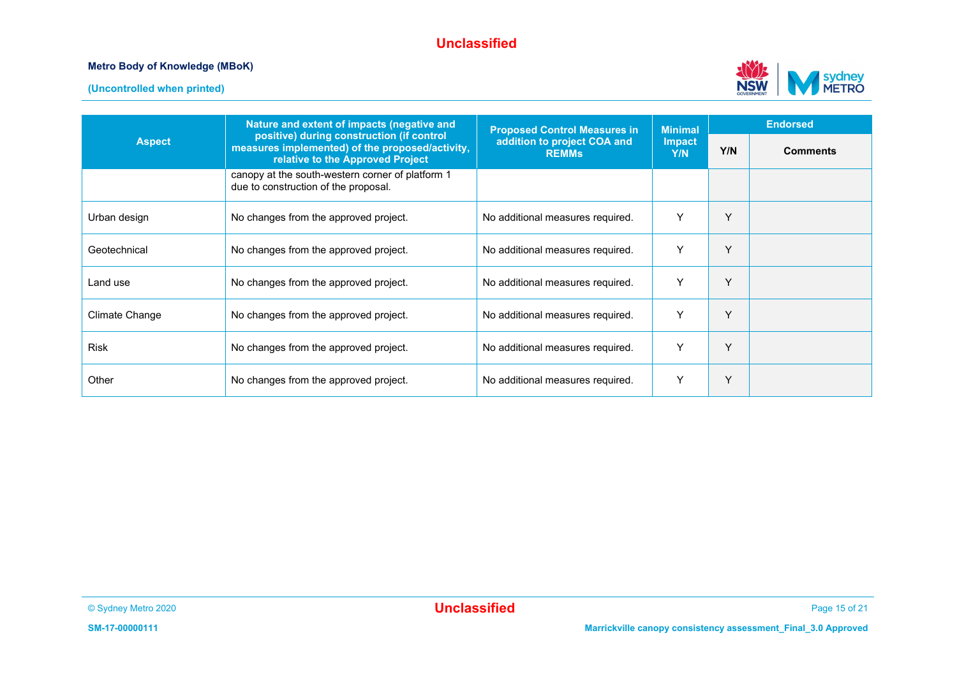



|                | Nature and extent of impacts (negative and                                                                                       | <b>Proposed Control Measures in</b>         | <b>Minimal</b>       |     | <b>Endorsed</b> |
|----------------|----------------------------------------------------------------------------------------------------------------------------------|---------------------------------------------|----------------------|-----|-----------------|
| <b>Aspect</b>  | positive) during construction (if control<br>measures implemented) of the proposed/activity,<br>relative to the Approved Project | addition to project COA and<br><b>REMMs</b> | <b>Impact</b><br>Y/N | Y/N | <b>Comments</b> |
|                | canopy at the south-western corner of platform 1<br>due to construction of the proposal.                                         |                                             |                      |     |                 |
| Urban design   | No changes from the approved project.                                                                                            | No additional measures required.            | Υ                    | Υ   |                 |
| Geotechnical   | No changes from the approved project.                                                                                            | No additional measures required.            | Υ                    | Υ   |                 |
| Land use       | No changes from the approved project.                                                                                            | No additional measures required.            | Υ                    | Y   |                 |
| Climate Change | No changes from the approved project.                                                                                            | No additional measures required.            | Y                    | Y   |                 |
| Risk           | No changes from the approved project.                                                                                            | No additional measures required.            | Υ                    | Y   |                 |
| Other          | No changes from the approved project.                                                                                            | No additional measures required.            | ٧                    | Υ   |                 |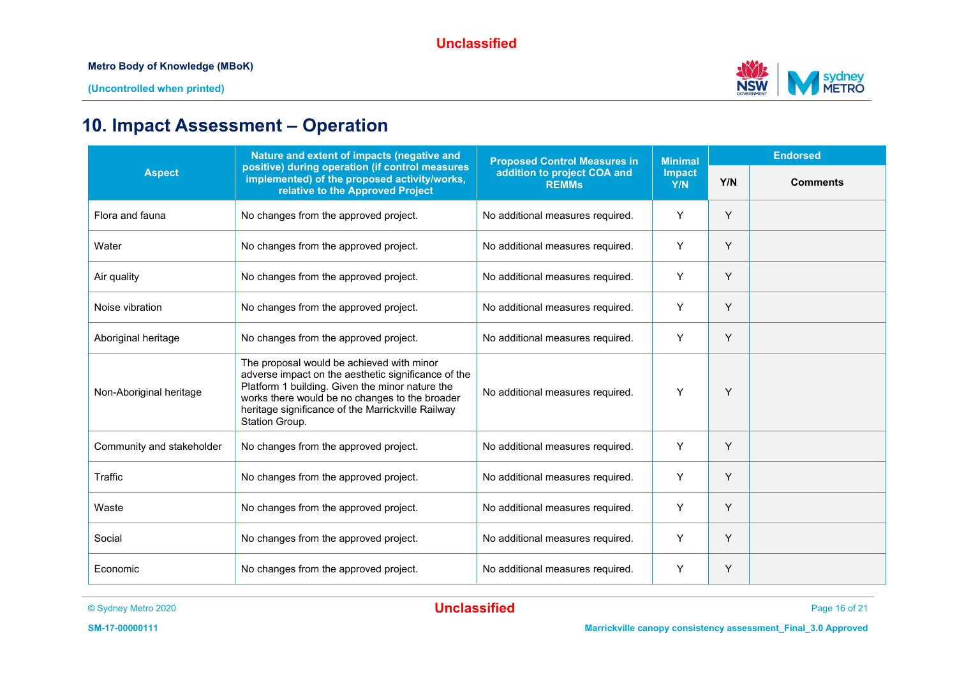

## **10. Impact Assessment – Operation**

|                           | Nature and extent of impacts (negative and                                                                                                                                                                                                                                   | <b>Proposed Control Measures in</b>         | <b>Minimal</b>       |     | <b>Endorsed</b> |
|---------------------------|------------------------------------------------------------------------------------------------------------------------------------------------------------------------------------------------------------------------------------------------------------------------------|---------------------------------------------|----------------------|-----|-----------------|
| <b>Aspect</b>             | positive) during operation (if control measures<br>implemented) of the proposed activity/works,<br>relative to the Approved Project                                                                                                                                          | addition to project COA and<br><b>REMMs</b> | <b>Impact</b><br>Y/N | Y/N | <b>Comments</b> |
| Flora and fauna           | No changes from the approved project.                                                                                                                                                                                                                                        | No additional measures required.            | Y                    | Y   |                 |
| Water                     | No changes from the approved project.                                                                                                                                                                                                                                        | No additional measures required.            | Y                    | Y   |                 |
| Air quality               | No changes from the approved project.                                                                                                                                                                                                                                        | No additional measures required.            | Y                    | Y   |                 |
| Noise vibration           | No changes from the approved project.                                                                                                                                                                                                                                        | No additional measures required.            | Y                    | Y   |                 |
| Aboriginal heritage       | No changes from the approved project.                                                                                                                                                                                                                                        | No additional measures required.            | Y                    | Y   |                 |
| Non-Aboriginal heritage   | The proposal would be achieved with minor<br>adverse impact on the aesthetic significance of the<br>Platform 1 building. Given the minor nature the<br>works there would be no changes to the broader<br>heritage significance of the Marrickville Railway<br>Station Group. | No additional measures required.            | Y                    | Y   |                 |
| Community and stakeholder | No changes from the approved project.                                                                                                                                                                                                                                        | No additional measures required.            | Υ                    | Y   |                 |
| Traffic                   | No changes from the approved project.                                                                                                                                                                                                                                        | No additional measures required.            | Y                    | Y   |                 |
| Waste                     | No changes from the approved project.                                                                                                                                                                                                                                        | No additional measures required.            | Y                    | Y   |                 |
| Social                    | No changes from the approved project.                                                                                                                                                                                                                                        | No additional measures required.            | Y                    | Y   |                 |
| Economic                  | No changes from the approved project.                                                                                                                                                                                                                                        | No additional measures required.            | Y                    | Y   |                 |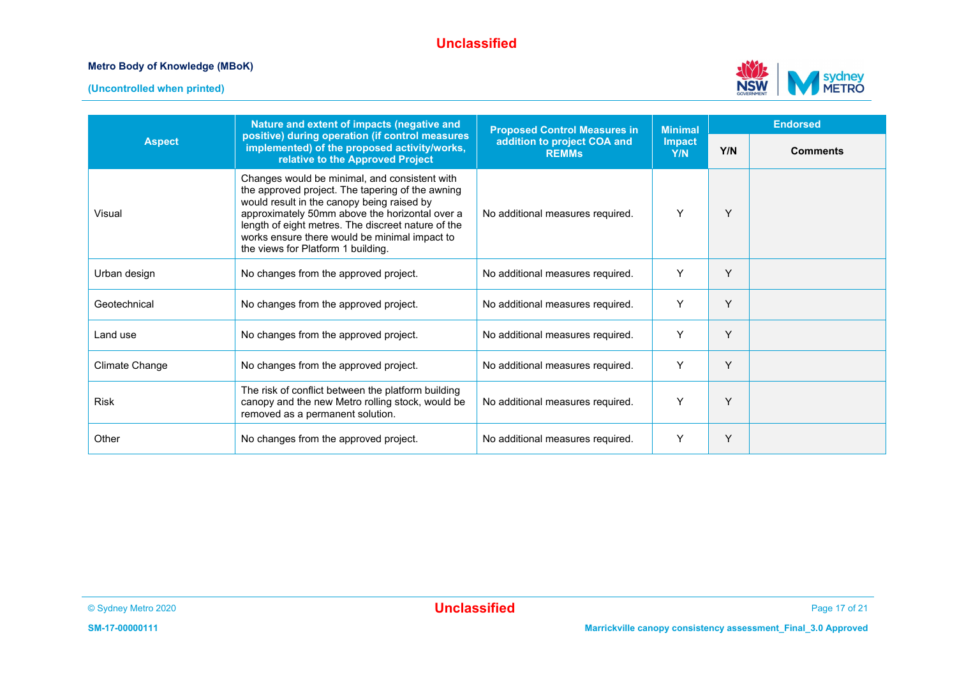



|                | Nature and extent of impacts (negative and                                                                                                                                                                                                                                                                                                     | <b>Proposed Control Measures in</b>         | <b>Minimal</b>       |     | <b>Endorsed</b> |
|----------------|------------------------------------------------------------------------------------------------------------------------------------------------------------------------------------------------------------------------------------------------------------------------------------------------------------------------------------------------|---------------------------------------------|----------------------|-----|-----------------|
| <b>Aspect</b>  | positive) during operation (if control measures<br>implemented) of the proposed activity/works,<br>relative to the Approved Project                                                                                                                                                                                                            | addition to project COA and<br><b>REMMs</b> | <b>Impact</b><br>Y/N | Y/N | <b>Comments</b> |
| Visual         | Changes would be minimal, and consistent with<br>the approved project. The tapering of the awning<br>would result in the canopy being raised by<br>approximately 50mm above the horizontal over a<br>length of eight metres. The discreet nature of the<br>works ensure there would be minimal impact to<br>the views for Platform 1 building. | No additional measures required.            | Y                    | Υ   |                 |
| Urban design   | No changes from the approved project.                                                                                                                                                                                                                                                                                                          | No additional measures required.            | Y                    | Y   |                 |
| Geotechnical   | No changes from the approved project.                                                                                                                                                                                                                                                                                                          | No additional measures required.            | Y                    | Y   |                 |
| Land use       | No changes from the approved project.                                                                                                                                                                                                                                                                                                          | No additional measures required.            | Y                    | Y   |                 |
| Climate Change | No changes from the approved project.                                                                                                                                                                                                                                                                                                          | No additional measures required.            | Y                    | Y   |                 |
| <b>Risk</b>    | The risk of conflict between the platform building<br>canopy and the new Metro rolling stock, would be<br>removed as a permanent solution.                                                                                                                                                                                                     | No additional measures required.            | Y                    | Υ   |                 |
| Other          | No changes from the approved project.                                                                                                                                                                                                                                                                                                          | No additional measures required.            | Y                    | Y   |                 |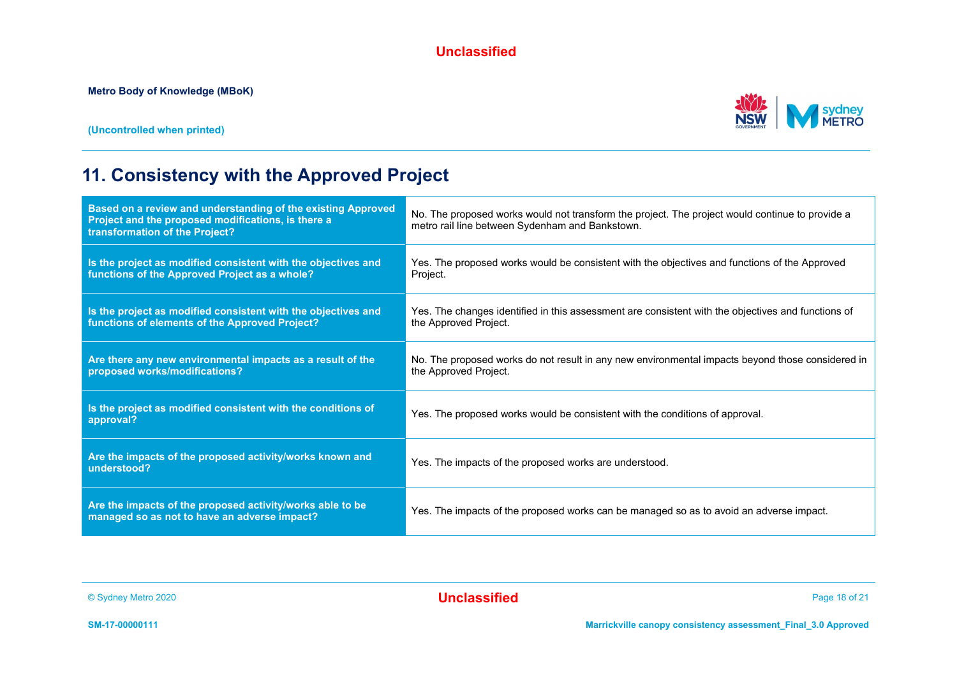**(Uncontrolled when printed)**



## **11. Consistency with the Approved Project**

| Based on a review and understanding of the existing Approved<br>Project and the proposed modifications, is there a<br>transformation of the Project? | No. The proposed works would not transform the project. The project would continue to provide a<br>metro rail line between Sydenham and Bankstown. |
|------------------------------------------------------------------------------------------------------------------------------------------------------|----------------------------------------------------------------------------------------------------------------------------------------------------|
| Is the project as modified consistent with the objectives and<br>functions of the Approved Project as a whole?                                       | Yes. The proposed works would be consistent with the objectives and functions of the Approved<br>Project.                                          |
| Is the project as modified consistent with the objectives and<br>functions of elements of the Approved Project?                                      | Yes. The changes identified in this assessment are consistent with the objectives and functions of<br>the Approved Project.                        |
| Are there any new environmental impacts as a result of the<br>proposed works/modifications?                                                          | No. The proposed works do not result in any new environmental impacts beyond those considered in<br>the Approved Project.                          |
| Is the project as modified consistent with the conditions of<br>approval?                                                                            | Yes. The proposed works would be consistent with the conditions of approval.                                                                       |
| Are the impacts of the proposed activity/works known and<br>understood?                                                                              | Yes. The impacts of the proposed works are understood.                                                                                             |
| Are the impacts of the proposed activity/works able to be<br>managed so as not to have an adverse impact?                                            | Yes. The impacts of the proposed works can be managed so as to avoid an adverse impact.                                                            |

© Sydney Metro 2020 **Unclassified** Page 18 of 21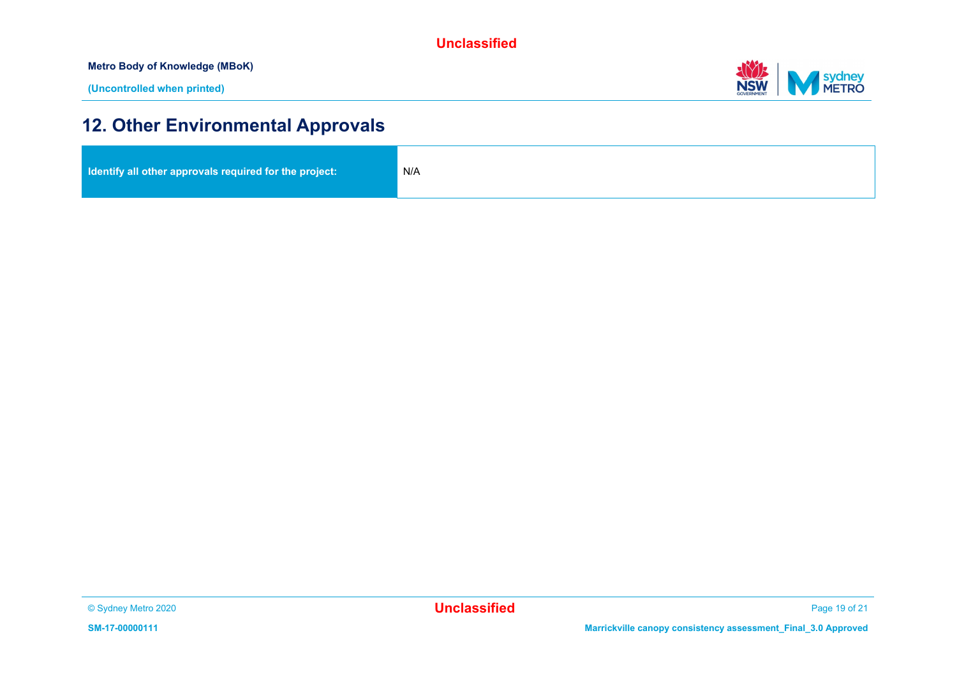**Metro Body of Knowledge (MBoK)**



## **12. Other Environmental Approvals**

| Identify all other approvals required for the project: | N/A |
|--------------------------------------------------------|-----|
|                                                        |     |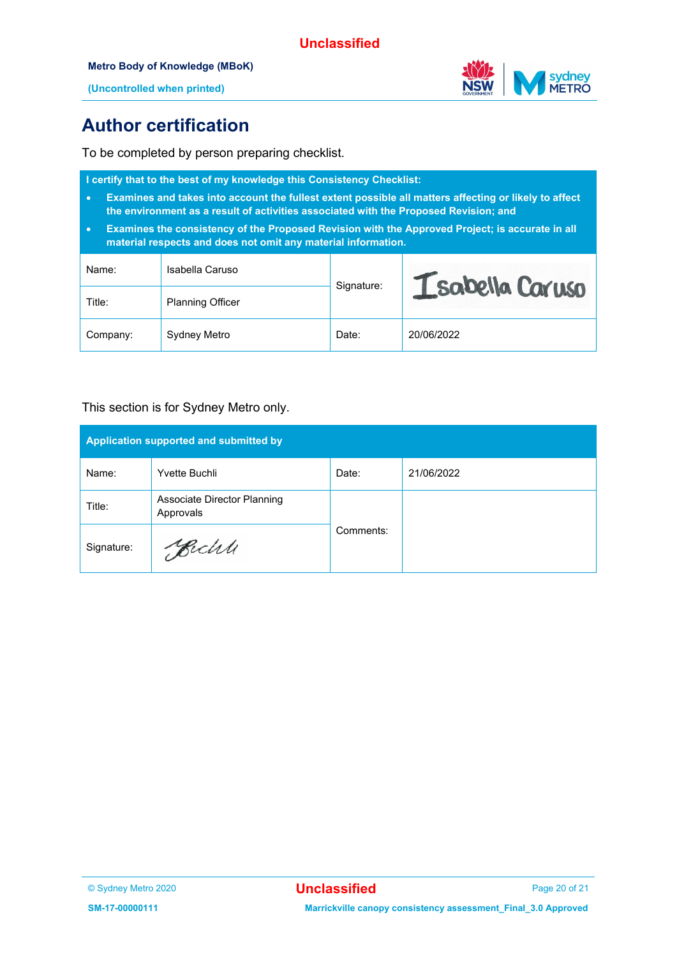#### **Metro Body of Knowledge (MBoK)**



**(Uncontrolled when printed)**

## **Author certification**

To be completed by person preparing checklist.

| I certify that to the best of my knowledge this Consistency Checklist:<br>Examines and takes into account the fullest extent possible all matters affecting or likely to affect<br>$\bullet$<br>the environment as a result of activities associated with the Proposed Revision; and<br>Examines the consistency of the Proposed Revision with the Approved Project; is accurate in all<br>$\bullet$<br>material respects and does not omit any material information. |                         |            |                 |  |  |  |
|-----------------------------------------------------------------------------------------------------------------------------------------------------------------------------------------------------------------------------------------------------------------------------------------------------------------------------------------------------------------------------------------------------------------------------------------------------------------------|-------------------------|------------|-----------------|--|--|--|
| Name:                                                                                                                                                                                                                                                                                                                                                                                                                                                                 | Isabella Caruso         |            | Isabella Caruso |  |  |  |
| Title:                                                                                                                                                                                                                                                                                                                                                                                                                                                                | <b>Planning Officer</b> | Signature: |                 |  |  |  |
| Company:                                                                                                                                                                                                                                                                                                                                                                                                                                                              | Sydney Metro            | Date:      | 20/06/2022      |  |  |  |

#### This section is for Sydney Metro only.

| Application supported and submitted by |                                          |           |            |  |  |  |
|----------------------------------------|------------------------------------------|-----------|------------|--|--|--|
| Name:                                  | Yvette Buchli                            | Date:     | 21/06/2022 |  |  |  |
| Title:                                 | Associate Director Planning<br>Approvals |           |            |  |  |  |
| Signature:                             | Becht                                    | Comments: |            |  |  |  |